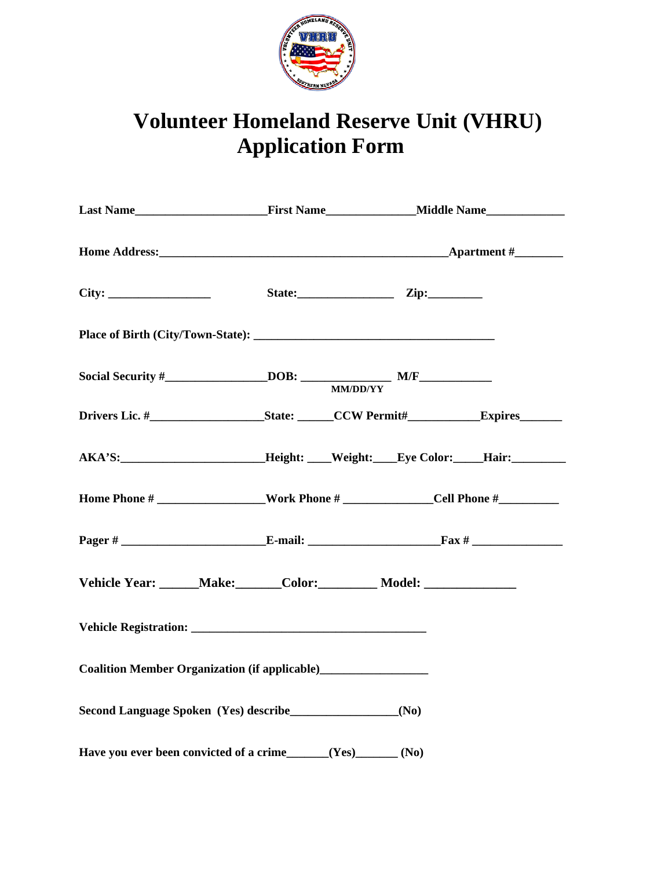

## **Volunteer Homeland Reserve Unit (VHRU) Application Form**

|                                                                                                     |  |  | State: Zip: |  |
|-----------------------------------------------------------------------------------------------------|--|--|-------------|--|
|                                                                                                     |  |  |             |  |
|                                                                                                     |  |  |             |  |
|                                                                                                     |  |  |             |  |
| AKA'S: ____________________________Height: ____Weight: ____Eye Color: _____Hair: __________________ |  |  |             |  |
|                                                                                                     |  |  |             |  |
|                                                                                                     |  |  |             |  |
| Vehicle Year: ______Make: ______Color: _________ Model: _________________________                   |  |  |             |  |
|                                                                                                     |  |  |             |  |
| Coalition Member Organization (if applicable)<br><u>Letting</u>                                     |  |  |             |  |
|                                                                                                     |  |  |             |  |
| Have you ever been convicted of a crime_____(Yes)_____(No)                                          |  |  |             |  |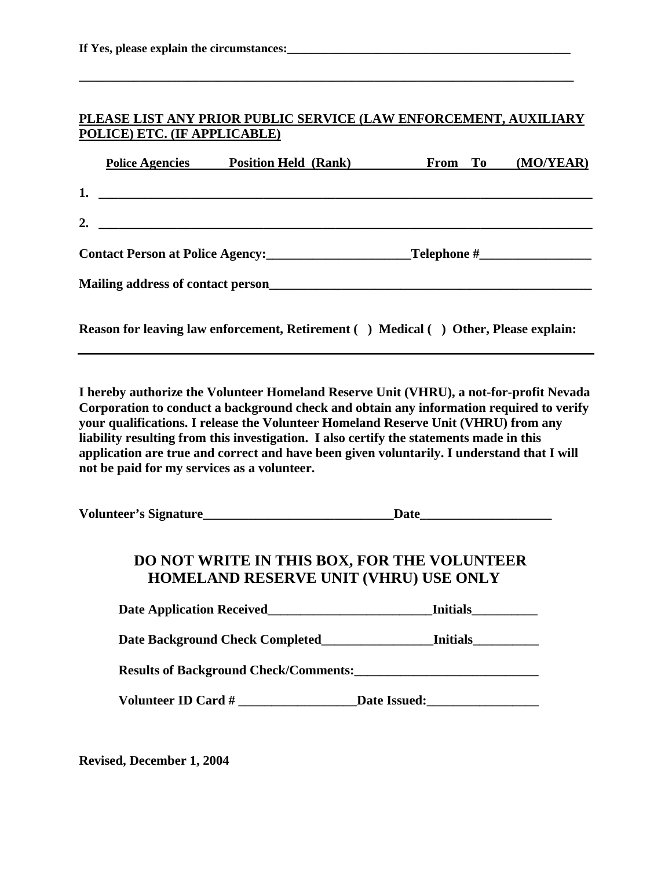## **PLEASE LIST ANY PRIOR PUBLIC SERVICE (LAW ENFORCEMENT, AUXILIARY POLICE) ETC. (IF APPLICABLE)**

**\_\_\_\_\_\_\_\_\_\_\_\_\_\_\_\_\_\_\_\_\_\_\_\_\_\_\_\_\_\_\_\_\_\_\_\_\_\_\_\_\_\_\_\_\_\_\_\_\_\_\_\_\_\_\_\_\_\_\_\_\_\_\_\_\_\_\_\_\_\_\_\_\_\_\_\_\_\_\_\_\_\_** 

|    | <b>Police Agencies</b>                           | <b>Position Held (Rank)</b>                                                   | From To | (MO/YEAR) |
|----|--------------------------------------------------|-------------------------------------------------------------------------------|---------|-----------|
|    |                                                  | 1. $\overline{\phantom{a}}$                                                   |         |           |
| 2. | <u> 1986 - Johann Stein, fransk kampens og f</u> |                                                                               |         |           |
|    |                                                  |                                                                               |         |           |
|    |                                                  | Mailing address of contact person<br><u>Mailing</u> address of contact person |         |           |
|    |                                                  |                                                                               |         |           |

**Reason for leaving law enforcement, Retirement ( ) Medical ( ) Other, Please explain:** 

**I hereby authorize the Volunteer Homeland Reserve Unit (VHRU), a not-for-profit Nevada Corporation to conduct a background check and obtain any information required to verify your qualifications. I release the Volunteer Homeland Reserve Unit (VHRU) from any liability resulting from this investigation. I also certify the statements made in this application are true and correct and have been given voluntarily. I understand that I will not be paid for my services as a volunteer.** 

**Volunteer's Signature\_\_\_\_\_\_\_\_\_\_\_\_\_\_\_\_\_\_\_\_\_\_\_\_\_\_\_\_\_Date\_\_\_\_\_\_\_\_\_\_\_\_\_\_\_\_\_\_\_\_** 

## **DO NOT WRITE IN THIS BOX, FOR THE VOLUNTEER HOMELAND RESERVE UNIT (VHRU) USE ONLY**

| <b>Date Application Received</b>             | <b>Initials</b> |
|----------------------------------------------|-----------------|
| Date Background Check Completed              | <b>Initials</b> |
| <b>Results of Background Check/Comments:</b> |                 |
| Volunteer ID Card #                          | Date Issued:    |

**Revised, December 1, 2004**